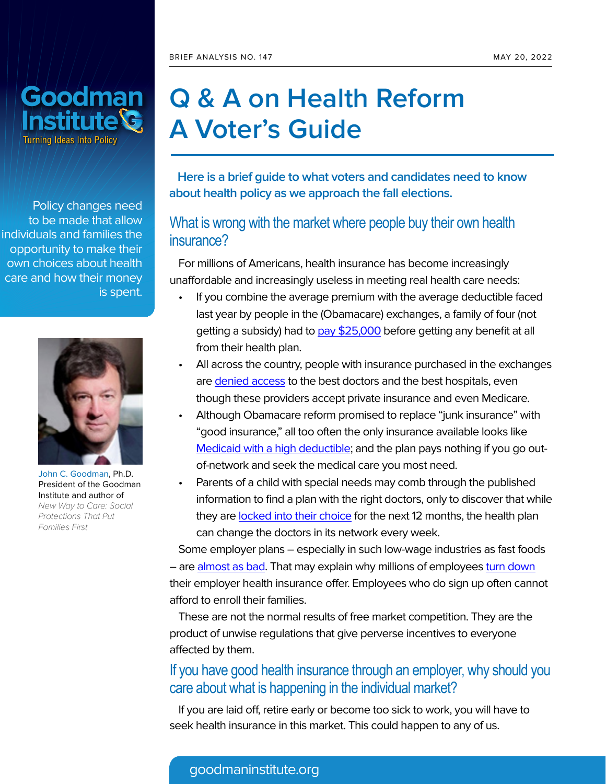

Policy changes need to be made that allow individuals and families the opportunity to make their own choices about health care and how their money is spent.



[John C. Goodman](https://www.goodmaninstitute.org/about/john-c-goodman/), Ph.D. President of the Goodman Institute and author of New Way to Care: Social Protections That Put Families First

# **Q & A on Health Reform A Voter's Guide**

 **Here is a brief guide to what voters and candidates need to know about health policy as we approach the fall elections.**

#### What is wrong with the market where people buy their own health insurance?

For millions of Americans, health insurance has become increasingly unaffordable and increasingly useless in meeting real health care needs:

- If you combine the average premium with the average deductible faced last year by people in the (Obamacare) exchanges, a family of four (not getting a subsidy) had to [pay \\$25,000](https://www.ehealthinsurance.com/resources/affordable-care-act/much-health-insurance-cost-without-subsidy) before getting any benefit at all from their health plan.
- All across the country, people with insurance purchased in the exchanges are [denied access](https://www.wsj.com/articles/obamacare-can-be-worse-than-medicaid-1530052891) to the best doctors and the best hospitals, even though these providers accept private insurance and even Medicare.
- Although Obamacare reform promised to replace "junk insurance" with "good insurance," all too often the only insurance available looks like [Medicaid with a high deductible](https://www.wsj.com/articles/obamacare-can-be-worse-than-medicaid-1530052891); and the plan pays nothing if you go outof-network and seek the medical care you most need.
- Parents of a child with special needs may comb through the published information to find a plan with the right doctors, only to discover that while they are [locked into their choice](https://www.independent.org/events/detail.asp?id=222) for the next 12 months, the health plan can change the doctors in its network every week.

Some employer plans – especially in such low-wage industries as fast foods – are [almost as bad](https://www.wsj.com/articles/john-c-goodman-how-obamacare-harms-low-income-workers-1420760457). That may explain why millions of employees [turn down](https://www.wsj.com/articles/andy-puzder-shunning-obamacare-1421192654) their employer health insurance offer. Employees who do sign up often cannot afford to enroll their families.

These are not the normal results of free market competition. They are the product of unwise regulations that give perverse incentives to everyone affected by them.

#### If you have good health insurance through an employer, why should you care about what is happening in the individual market?

If you are laid off, retire early or become too sick to work, you will have to seek health insurance in this market. This could happen to any of us.

#### goodmaninstitute.org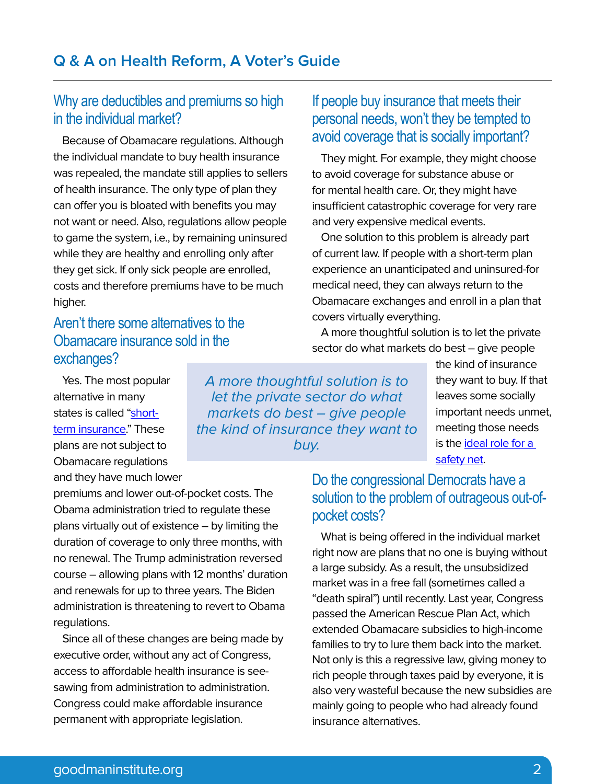# Why are deductibles and premiums so high in the individual market?

Because of Obamacare regulations. Although the individual mandate to buy health insurance was repealed, the mandate still applies to sellers of health insurance. The only type of plan they can offer you is bloated with benefits you may not want or need. Also, regulations allow people to game the system, i.e., by remaining uninsured while they are healthy and enrolling only after they get sick. If only sick people are enrolled, costs and therefore premiums have to be much higher.

# Aren't there some alternatives to the Obamacare insurance sold in the exchanges?

Yes. The most popular alternative in many states is called ["short](https://www.forbes.com/sites/johngoodman/2020/06/29/short-term-insurance-is-not-the-problem-its-the-solution/?sh=4902f82f5d5c)[term insurance](https://www.forbes.com/sites/johngoodman/2020/06/29/short-term-insurance-is-not-the-problem-its-the-solution/?sh=4902f82f5d5c)." These plans are not subject to Obamacare regulations and they have much lower

premiums and lower out-of-pocket costs. The Obama administration tried to regulate these plans virtually out of existence – by limiting the duration of coverage to only three months, with no renewal. The Trump administration reversed course – allowing plans with 12 months' duration and renewals for up to three years. The Biden administration is threatening to revert to Obama regulations.

Since all of these changes are being made by executive order, without any act of Congress, access to affordable health insurance is seesawing from administration to administration. Congress could make affordable insurance permanent with appropriate legislation.

A more thoughtful solution is to let the private sector do what markets do best – give people the kind of insurance they want to buy.

# If people buy insurance that meets their personal needs, won't they be tempted to avoid coverage that is socially important?

They might. For example, they might choose to avoid coverage for substance abuse or for mental health care. Or, they might have insufficient catastrophic coverage for very rare and very expensive medical events.

One solution to this problem is already part of current law. If people with a short-term plan experience an unanticipated and uninsured-for medical need, they can always return to the Obamacare exchanges and enroll in a plan that covers virtually everything.

A more thoughtful solution is to let the private sector do what markets do best – give people

> the kind of insurance they want to buy. If that leaves some socially important needs unmet, meeting those needs is the [ideal role for a](https://www.goodmaninstitute.org/wp-content/uploads/2016/05/A-Workable-Safety-Net.pdf)  [safety net](https://www.goodmaninstitute.org/wp-content/uploads/2016/05/A-Workable-Safety-Net.pdf).

# Do the congressional Democrats have a solution to the problem of outrageous out-ofpocket costs?

What is being offered in the individual market right now are plans that no one is buying without a large subsidy. As a result, the unsubsidized market was in a free fall (sometimes called a "death spiral") until recently. Last year, Congress passed the American Rescue Plan Act, which extended Obamacare subsidies to high-income families to try to lure them back into the market. Not only is this a regressive law, giving money to rich people through taxes paid by everyone, it is also very wasteful because the new subsidies are mainly going to people who had already found insurance alternatives.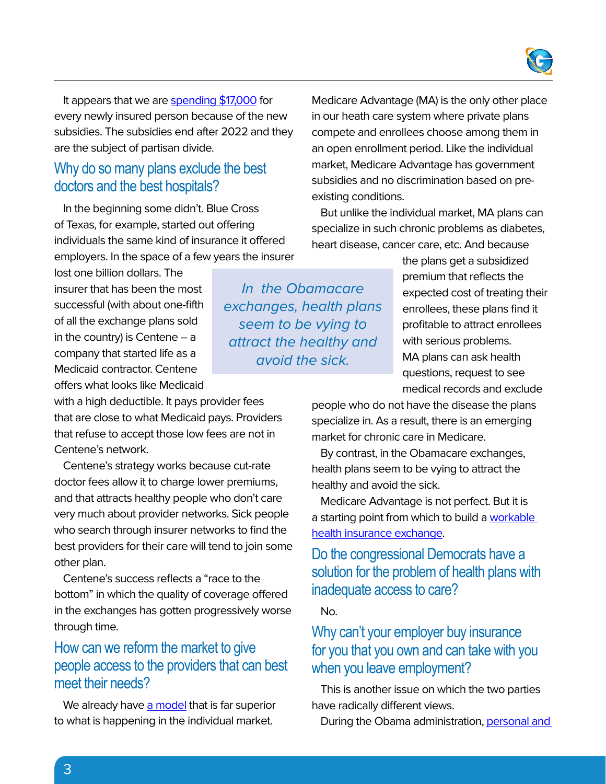

It appears that we are [spending \\$17,000](https://edlabor.house.gov/imo/media/doc/BlaseBrianTestimony%200217221.pdf) for every newly insured person because of the new subsidies. The subsidies end after 2022 and they are the subject of partisan divide.

#### Why do so many plans exclude the best doctors and the best hospitals?

In the beginning some didn't. Blue Cross of Texas, for example, started out offering individuals the same kind of insurance it offered employers. In the space of a few years the insurer

lost one billion dollars. The insurer that has been the most successful (with about one-fifth of all the exchange plans sold in the country) is Centene  $-$  a company that started life as a Medicaid contractor. Centene offers what looks like Medicaid

with a high deductible. It pays provider fees that are close to what Medicaid pays. Providers that refuse to accept those low fees are not in Centene's network.

Centene's strategy works because cut-rate doctor fees allow it to charge lower premiums, and that attracts healthy people who don't care very much about provider networks. Sick people who search through insurer networks to find the best providers for their care will tend to join some other plan.

Centene's success reflects a "race to the bottom" in which the quality of coverage offered in the exchanges has gotten progressively worse through time.

## How can we reform the market to give people access to the providers that can best meet their needs?

We already have [a model](https://www.goodmaninstitute.org/2021/03/17/how-to-reform-obamacare/) that is far superior to what is happening in the individual market.

in our heath care system where private plans compete and enrollees choose among them in an open enrollment period. Like the individual market, Medicare Advantage has government subsidies and no discrimination based on preexisting conditions.

Medicare Advantage (MA) is the only other place

But unlike the individual market, MA plans can specialize in such chronic problems as diabetes, heart disease, cancer care, etc. And because

> the plans get a subsidized premium that reflects the expected cost of treating their enrollees, these plans find it profitable to attract enrollees with serious problems. MA plans can ask health questions, request to see medical records and exclude

people who do not have the disease the plans specialize in. As a result, there is an emerging market for chronic care in Medicare.

By contrast, in the Obamacare exchanges, health plans seem to be vying to attract the healthy and avoid the sick.

Medicare Advantage is not perfect. But it is a starting point from which to build a [workable](https://www.goodmaninstitute.org/wp-content/uploads/2016/04/BA-106.pdf)  [health insurance exchange](https://www.goodmaninstitute.org/wp-content/uploads/2016/04/BA-106.pdf).

## Do the congressional Democrats have a solution for the problem of health plans with inadequate access to care?

No.

## Why can't your employer buy insurance for you that you own and can take with you when you leave employment?

This is another issue on which the two parties have radically different views.

During the Obama administration, personal and

In the Obamacare exchanges, health plans seem to be vying to attract the healthy and avoid the sick.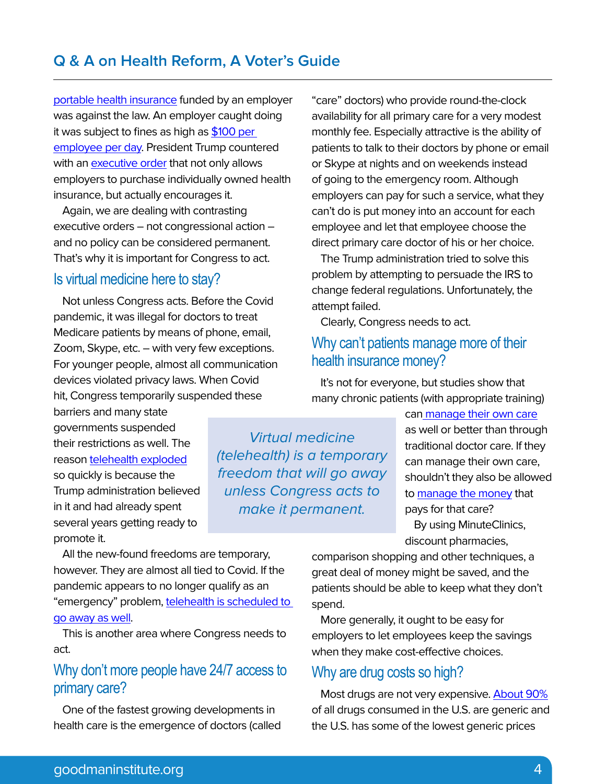[portable health insurance](https://www.goodmaninstitute.org/wp-content/uploads/2016/04/BA-105.pdf) funded by an employer was against the law. An employer caught doing it was subject to fines as high as [\\$100 per](https://www.forbes.com/sites/gracemarieturner/2015/06/30/small-businesses-threatened-with-36500-irs-fines-for-helping-employees-with-health-costs/?sh=4065045e77f7)  [employee per day.](https://www.forbes.com/sites/gracemarieturner/2015/06/30/small-businesses-threatened-with-36500-irs-fines-for-helping-employees-with-health-costs/?sh=4065045e77f7) President Trump countered with an [executive order](https://www.goodmaninstitute.org/2019/06/28/a-win-for-the-goodman-institute/) that not only allows employers to purchase individually owned health insurance, but actually encourages it.

Again, we are dealing with contrasting executive orders – not congressional action – and no policy can be considered permanent. That's why it is important for Congress to act.

# Is virtual medicine here to stay?

Not unless Congress acts. Before the Covid pandemic, it was illegal for doctors to treat Medicare patients by means of phone, email, Zoom, Skype, etc. – with very few exceptions. For younger people, almost all communication devices violated privacy laws. When Covid hit, Congress temporarily suspended these

barriers and many state governments suspended their restrictions as well. The reason [telehealth exploded](https://oig.hhs.gov/oei/reports/OEI-02-20-00520.asp) so quickly is because the Trump administration believed in it and had already spent several years getting ready to promote it.

Virtual medicine (telehealth) is a temporary freedom that will go away unless Congress acts to make it permanent.

"care" doctors) who provide round-the-clock availability for all primary care for a very modest monthly fee. Especially attractive is the ability of patients to talk to their doctors by phone or email or Skype at nights and on weekends instead of going to the emergency room. Although employers can pay for such a service, what they can't do is put money into an account for each employee and let that employee choose the direct primary care doctor of his or her choice.

The Trump administration tried to solve this problem by attempting to persuade the IRS to change federal regulations. Unfortunately, the attempt failed.

Clearly, Congress needs to act.

## Why can't patients manage more of their health insurance money?

It's not for everyone, but studies show that many chronic patients (with appropriate training)

> ca[n manage their own care](https://khn.org/news/with-chronic-illness-you-are-your-own-best-friend/?utm_campaign=KHN%3A+First+Edition&utm_source=hs_email&utm_medium=email&utm_content=33922464&_hsenc=p2ANqtz-9etqh2n2nyNS233OwEKy_zDkHhnijsiNflvfu91UcW-VbiCpRdkO5nTEy7qGQXuER_8XaKmFreOYjxupFl5DCdgVEZaw&_hsmi=33922464) as well or better than through traditional doctor care. If they can manage their own care, shouldn't they also be allowed to [manage the money](https://www.healthaffairs.org/do/10.1377/forefront.20090212.000502/full/) that pays for that care? By using MinuteClinics, discount pharmacies,

All the new-found freedoms are temporary, however. They are almost all tied to Covid. If the pandemic appears to no longer qualify as an "emergency" problem, telehealth is scheduled to [go away as well.](https://heartlanddailynews.com/2022/03/congress-extends-telehealth-beyond-pandemic/)

This is another area where Congress needs to act.

## Why don't more people have 24/7 access to primary care?

One of the fastest growing developments in health care is the emergence of doctors (called comparison shopping and other techniques, a great deal of money might be saved, and the patients should be able to keep what they don't spend.

More generally, it ought to be easy for employers to let employees keep the savings when they make cost-effective choices.

#### Why are drug costs so high?

Most drugs are not very expensive. [About 90%](https://www.cbo.gov/system/files/2022-01/57050-Rx-Spending.pdf) of all drugs consumed in the U.S. are generic and the U.S. has some of the lowest generic prices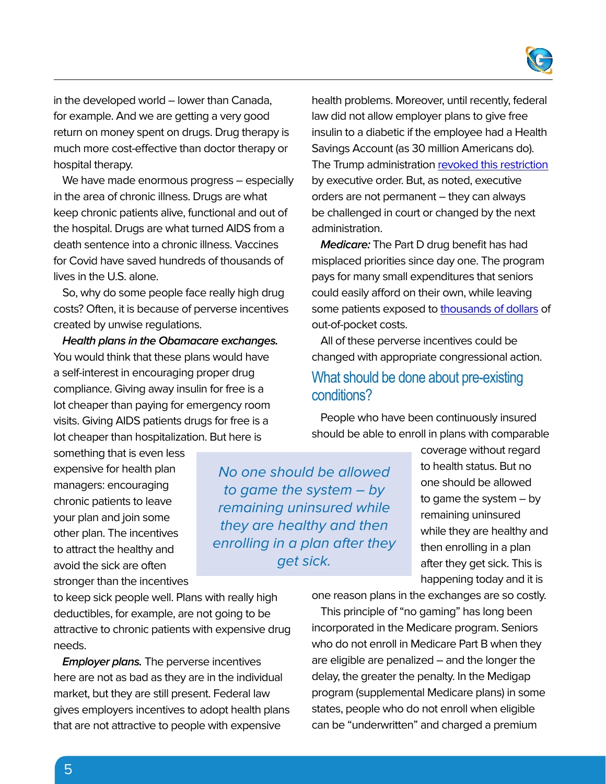

in the developed world – lower than Canada, for example. And we are getting a very good return on money spent on drugs. Drug therapy is much more cost-effective than doctor therapy or hospital therapy.

We have made enormous progress – especially in the area of chronic illness. Drugs are what keep chronic patients alive, functional and out of the hospital. Drugs are what turned AIDS from a death sentence into a chronic illness. Vaccines for Covid have saved hundreds of thousands of lives in the U.S. alone.

So, why do some people face really high drug costs? Often, it is because of perverse incentives created by unwise regulations.

**Health plans in the Obamacare exchanges.** You would think that these plans would have a self-interest in encouraging proper drug compliance. Giving away insulin for free is a lot cheaper than paying for emergency room visits. Giving AIDS patients drugs for free is a lot cheaper than hospitalization. But here is

something that is even less expensive for health plan managers: encouraging chronic patients to leave your plan and join some other plan. The incentives to attract the healthy and avoid the sick are often stronger than the incentives

to game the system – by remaining uninsured while they are healthy and then enrolling in a plan after they get sick.

No one should be allowed

health problems. Moreover, until recently, federal law did not allow employer plans to give free insulin to a diabetic if the employee had a Health Savings Account (as 30 million Americans do). The Trump administration [revoked this restriction](https://www.wsj.com/articles/patients-with-high-deductible-health-plans-to-get-greater-flexibility-11563372139) by executive order. But, as noted, executive orders are not permanent – they can always be challenged in court or changed by the next administration.

**Medicare:** The Part D drug benefit has had misplaced priorities since day one. The program pays for many small expenditures that seniors could easily afford on their own, while leaving some patients exposed to [thousands of dollars](https://www.kff.org/medicare/issue-brief/the-out-of-pocket-cost-burden-for-specialty-drugs-in-medicare-part-d-in-2019/) of out-of-pocket costs.

All of these perverse incentives could be changed with appropriate congressional action.

#### What should be done about pre-existing conditions?

People who have been continuously insured should be able to enroll in plans with comparable

> coverage without regard to health status. But no one should be allowed to game the system – by remaining uninsured while they are healthy and then enrolling in a plan after they get sick. This is happening today and it is

one reason plans in the exchanges are so costly.

This principle of "no gaming" has long been incorporated in the Medicare program. Seniors who do not enroll in Medicare Part B when they are eligible are penalized – and the longer the delay, the greater the penalty. In the Medigap program (supplemental Medicare plans) in some states, people who do not enroll when eligible can be "underwritten" and charged a premium

to keep sick people well. Plans with really high deductibles, for example, are not going to be attractive to chronic patients with expensive drug needs.

**Employer plans.** The perverse incentives here are not as bad as they are in the individual market, but they are still present. Federal law gives employers incentives to adopt health plans that are not attractive to people with expensive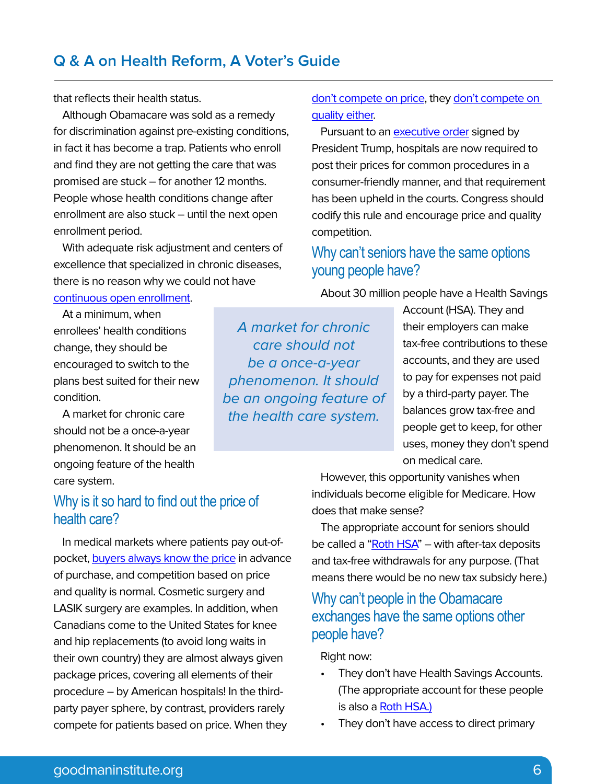# **Q & A on Health Reform, A Voter's Guide**

that reflects their health status.

Although Obamacare was sold as a remedy for discrimination against pre-existing conditions, in fact it has become a trap. Patients who enroll and find they are not getting the care that was promised are stuck – for another 12 months. People whose health conditions change after enrollment are also stuck – until the next open enrollment period.

With adequate risk adjustment and centers of excellence that specialized in chronic diseases, there is no reason why we could not have [continuous open enrollment](https://www.forbes.com/sites/johngoodman/2020/09/30/here-are-solutions-for-pre-existing-conditions/?sh=4e0f98595600).

At a minimum, when enrollees' health conditions change, they should be encouraged to switch to the plans best suited for their new condition.

A market for chronic care should not be a once-a-year phenomenon. It should be an ongoing feature of the health care system.

#### Why is it so hard to find out the price of health care?

In medical markets where patients pay out-ofpocket, [buyers always know the price](https://www.healthworkscollective.com/wp-content/uploads/2013/06/st349.pdf) in advance of purchase, and competition based on price and quality is normal. Cosmetic surgery and LASIK surgery are examples. In addition, when Canadians come to the United States for knee and hip replacements (to avoid long waits in their own country) they are almost always given package prices, covering all elements of their procedure – by American hospitals! In the thirdparty payer sphere, by contrast, providers rarely compete for patients based on price. When they

[don't compete on price](https://www.healthaffairs.org/do/10.1377/forefront.20110324.009787/full/), they [don't compete on](https://www.healthaffairs.org/do/10.1377/forefront.20110421.010444/full/)  [quality either](https://www.healthaffairs.org/do/10.1377/forefront.20110421.010444/full/).

Pursuant to an [executive order](https://galen.org/assets/Blase_Transparency_Paper_092719.pdf) signed by President Trump, hospitals are now required to post their prices for common procedures in a consumer-friendly manner, and that requirement has been upheld in the courts. Congress should codify this rule and encourage price and quality competition.

# Why can't seniors have the same options young people have?

About 30 million people have a Health Savings

A market for chronic care should not be a once-a-year phenomenon. It should be an ongoing feature of the health care system.

Account (HSA). They and their employers can make tax-free contributions to these accounts, and they are used to pay for expenses not paid by a third-party payer. The balances grow tax-free and people get to keep, for other uses, money they don't spend on medical care.

However, this opportunity vanishes when individuals become eligible for Medicare. How does that make sense?

The appropriate account for seniors should be called a "Roth  $HSA$ " – with after-tax deposits and tax-free withdrawals for any purpose. (That means there would be no new tax subsidy here.)

## Why can't people in the Obamacare exchanges have the same options other people have?

Right now:

- They don't have Health Savings Accounts. (The appropriate account for these people is also a [Roth HSA.\)](https://www.goodmaninstitute.org/wp-content/uploads/2016/05/Roth-Health-Savings-Accounts.pdf)
- They don't have access to direct primary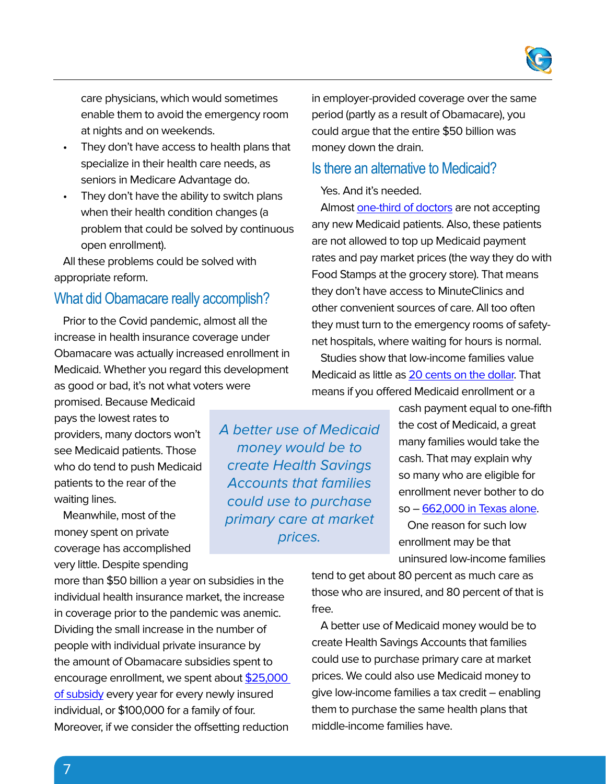

care physicians, which would sometimes enable them to avoid the emergency room at nights and on weekends.

- They don't have access to health plans that specialize in their health care needs, as seniors in Medicare Advantage do.
- They don't have the ability to switch plans when their health condition changes (a problem that could be solved by continuous open enrollment).

All these problems could be solved with appropriate reform.

#### What did Obamacare really accomplish?

Prior to the Covid pandemic, almost all the increase in health insurance coverage under Obamacare was actually increased enrollment in Medicaid. Whether you regard this development as good or bad, it's not what voters were

promised. Because Medicaid pays the lowest rates to providers, many doctors won't see Medicaid patients. Those who do tend to push Medicaid patients to the rear of the waiting lines.

Meanwhile, most of the money spent on private coverage has accomplished very little. Despite spending

more than \$50 billion a year on subsidies in the individual health insurance market, the increase in coverage prior to the pandemic was anemic. Dividing the small increase in the number of people with individual private insurance by the amount of Obamacare subsidies spent to encourage enrollment, we spent about [\\$25,000](https://blasepolicy.org/the-disappointing-affordable-care-act/)  [of subsidy](https://blasepolicy.org/the-disappointing-affordable-care-act/) every year for every newly insured individual, or \$100,000 for a family of four. Moreover, if we consider the offsetting reduction

A better use of Medicaid money would be to create Health Savings Accounts that families could use to purchase primary care at market prices.

in employer-provided coverage over the same period (partly as a result of Obamacare), you could argue that the entire \$50 billion was money down the drain.

#### Is there an alternative to Medicaid?

Yes. And it's needed.

Almost [one-third of doctors](https://www.statnews.com/2017/12/28/medicaid-physicians-social-contract/) are not accepting any new Medicaid patients. Also, these patients are not allowed to top up Medicaid payment rates and pay market prices (the way they do with Food Stamps at the grocery store). That means they don't have access to MinuteClinics and other convenient sources of care. All too often they must turn to the emergency rooms of safetynet hospitals, where waiting for hours is normal.

Studies show that low-income families value Medicaid as little as [20 cents on the dollar](http://scholar.harvard.edu/files/hendren/files/finkelstein_hendren_luttmer_mcaid_welfare_june_16_2015.pdf). That means if you offered Medicaid enrollment or a

> cash payment equal to one-fifth the cost of Medicaid, a great many families would take the cash. That may explain why so many who are eligible for enrollment never bother to do so – [662,000 in Texas alone](https://www.dallasnews.com/opinion/commentary/2022/04/23/medicaid-isnt-serving-texas-patients-well-expanding-it-would-be-a-mistake/).

One reason for such low enrollment may be that uninsured low-income families

tend to get about 80 percent as much care as those who are insured, and 80 percent of that is free.

A better use of Medicaid money would be to create Health Savings Accounts that families could use to purchase primary care at market prices. We could also use Medicaid money to give low-income families a tax credit – enabling them to purchase the same health plans that middle-income families have.